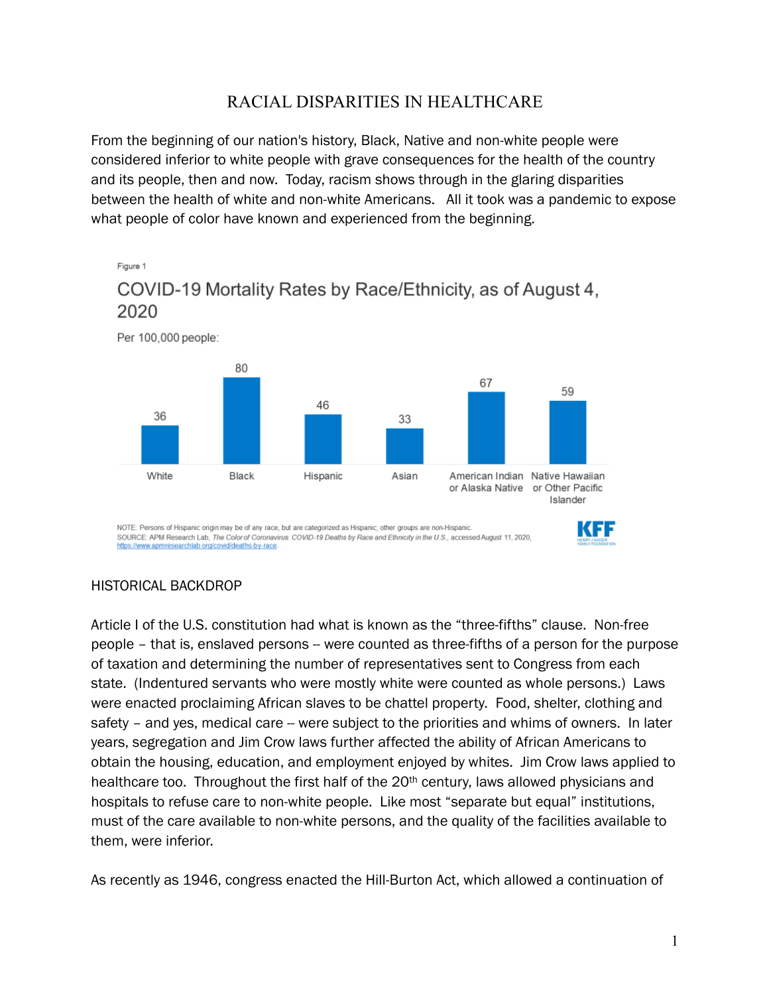## RACIAL DISPARITIES IN HEALTHCARE

From the beginning of our nation's history, Black, Native and non-white people were considered inferior to white people with grave consequences for the health of the country and its people, then and now. Today, racism shows through in the glaring disparities between the health of white and non-white Americans. All it took was a pandemic to expose what people of color have known and experienced from the beginning.



#### HISTORICAL BACKDROP

Article I of the U.S. constitution had what is known as the "three-fifths" clause. Non-free people – that is, enslaved persons -- were counted as three-fifths of a person for the purpose of taxation and determining the number of representatives sent to Congress from each state. (Indentured servants who were mostly white were counted as whole persons.) Laws were enacted proclaiming African slaves to be chattel property. Food, shelter, clothing and safety – and yes, medical care – were subject to the priorities and whims of owners. In later years, segregation and Jim Crow laws further affected the ability of African Americans to obtain the housing, education, and employment enjoyed by whites. Jim Crow laws applied to healthcare too. Throughout the first half of the 20<sup>th</sup> century, laws allowed physicians and hospitals to refuse care to non-white people. Like most "separate but equal" institutions, must of the care available to non-white persons, and the quality of the facilities available to them, were inferior.

As recently as 1946, congress enacted the Hill-Burton Act, which allowed a continuation of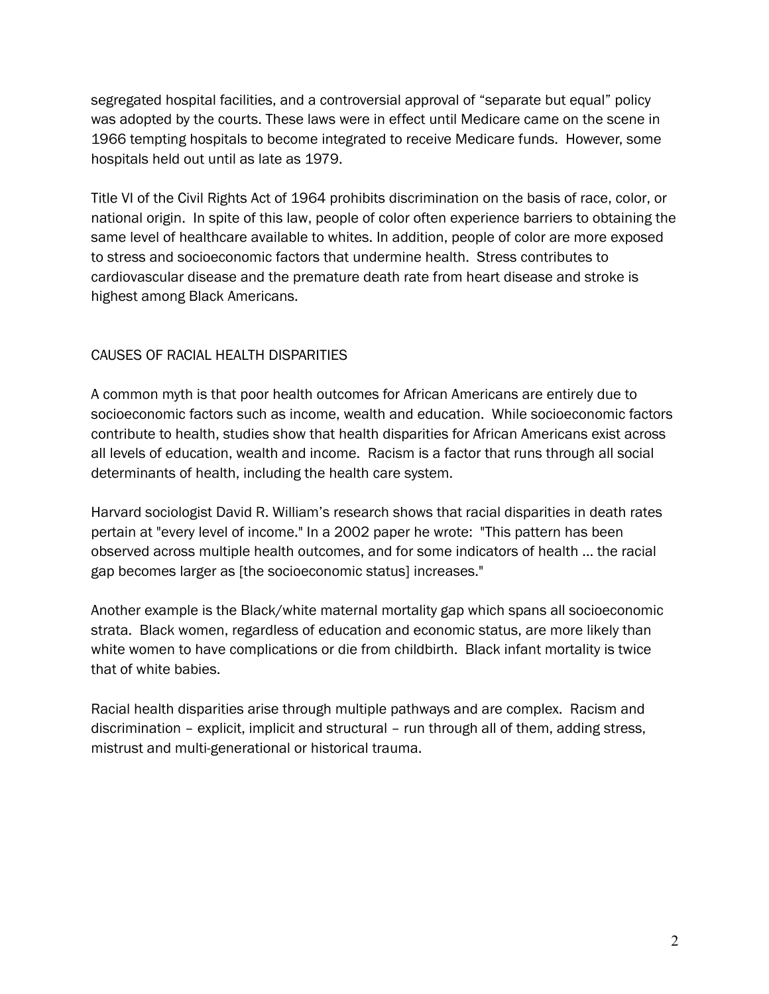segregated hospital facilities, and a controversial approval of "separate but equal" policy was adopted by the courts. These laws were in effect until Medicare came on the scene in 1966 tempting hospitals to become integrated to receive Medicare funds. However, some hospitals held out until as late as 1979.

Title VI of the Civil Rights Act of 1964 prohibits discrimination on the basis of race, color, or national origin. In spite of this law, people of color often experience barriers to obtaining the same level of healthcare available to whites. In addition, people of color are more exposed to stress and socioeconomic factors that undermine health. Stress contributes to cardiovascular disease and the premature death rate from heart disease and stroke is highest among Black Americans.

#### CAUSES OF RACIAL HEALTH DISPARITIES

A common myth is that poor health outcomes for African Americans are entirely due to socioeconomic factors such as income, wealth and education. While socioeconomic factors contribute to health, studies show that health disparities for African Americans exist across all levels of education, wealth and income. Racism is a factor that runs through all social determinants of health, including the health care system.

Harvard sociologist David R. William's research shows that racial disparities in death rates pertain at "every level of income." In a 2002 paper he wrote: "This pattern has been observed across multiple health outcomes, and for some indicators of health … the racial gap becomes larger as [the socioeconomic status] increases."

Another example is the Black/white maternal mortality gap which spans all socioeconomic strata. Black women, regardless of education and economic status, are more likely than white women to have complications or die from childbirth. Black infant mortality is twice that of white babies.

Racial health disparities arise through multiple pathways and are complex. Racism and discrimination – explicit, implicit and structural – run through all of them, adding stress, mistrust and multi-generational or historical trauma.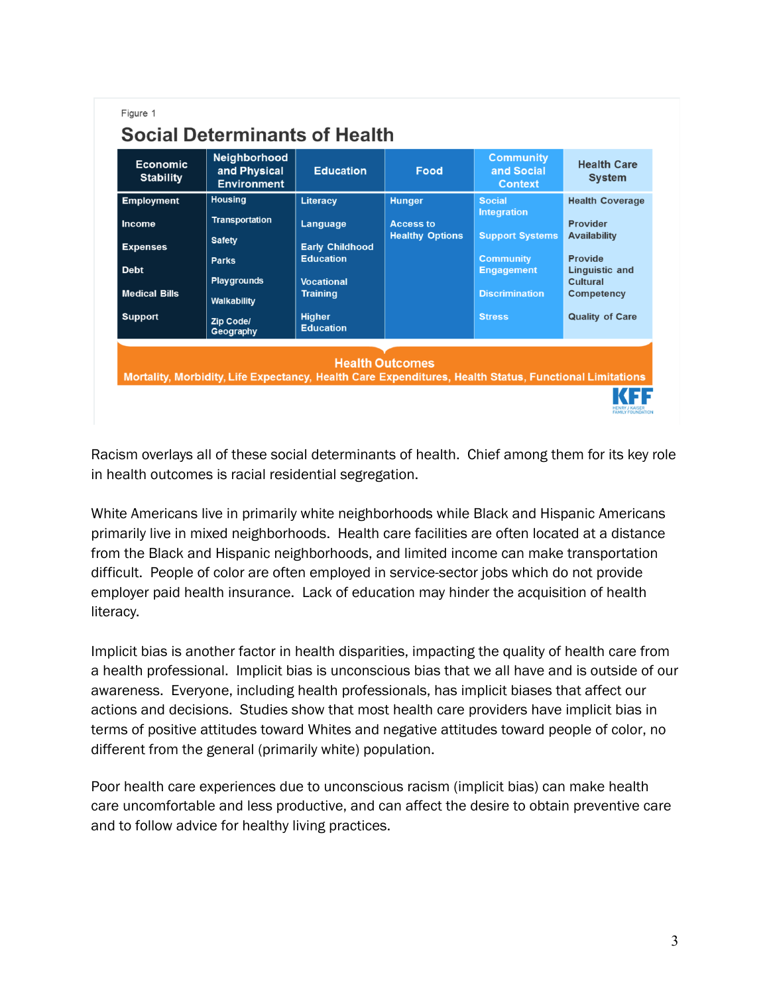| <b>Housing</b><br><b>Employment</b><br>Literacy<br><b>Hunger</b><br><b>Social</b><br><b>Integration</b><br><b>Transportation</b><br>Provider<br>Language<br><b>Access to</b><br>Income<br><b>Healthy Options</b><br><b>Support Systems</b><br><b>Availability</b><br><b>Safety</b><br><b>Early Childhood</b><br><b>Expenses</b><br><b>Education</b><br>Provide<br><b>Community</b><br><b>Parks</b><br><b>Debt</b><br><b>Engagement</b><br><b>Linguistic and</b> | <b>Economic</b><br><b>Stability</b> | Neighborhood<br>and Physical<br><b>Environment</b> | <b>Education</b>  | Food | <b>Community</b><br>and Social<br><b>Context</b> | <b>Health Care</b><br><b>System</b> |
|-----------------------------------------------------------------------------------------------------------------------------------------------------------------------------------------------------------------------------------------------------------------------------------------------------------------------------------------------------------------------------------------------------------------------------------------------------------------|-------------------------------------|----------------------------------------------------|-------------------|------|--------------------------------------------------|-------------------------------------|
|                                                                                                                                                                                                                                                                                                                                                                                                                                                                 |                                     |                                                    |                   |      |                                                  | <b>Health Coverage</b>              |
|                                                                                                                                                                                                                                                                                                                                                                                                                                                                 |                                     |                                                    |                   |      |                                                  |                                     |
|                                                                                                                                                                                                                                                                                                                                                                                                                                                                 |                                     |                                                    |                   |      |                                                  |                                     |
|                                                                                                                                                                                                                                                                                                                                                                                                                                                                 |                                     |                                                    |                   |      |                                                  |                                     |
|                                                                                                                                                                                                                                                                                                                                                                                                                                                                 |                                     | <b>Playgrounds</b>                                 | <b>Vocational</b> |      |                                                  | Cultural                            |
| <b>Medical Bills</b><br><b>Discrimination</b><br><b>Training</b><br>Walkability                                                                                                                                                                                                                                                                                                                                                                                 |                                     |                                                    |                   |      |                                                  | <b>Competency</b>                   |
| <b>Higher</b><br><b>Support</b><br><b>Stress</b><br>Zip Code/<br><b>Education</b><br>Geography                                                                                                                                                                                                                                                                                                                                                                  |                                     |                                                    |                   |      |                                                  | <b>Quality of Care</b>              |

Racism overlays all of these social determinants of health. Chief among them for its key role in health outcomes is racial residential segregation.

White Americans live in primarily white neighborhoods while Black and Hispanic Americans primarily live in mixed neighborhoods. Health care facilities are often located at a distance from the Black and Hispanic neighborhoods, and limited income can make transportation difficult. People of color are often employed in service-sector jobs which do not provide employer paid health insurance. Lack of education may hinder the acquisition of health literacy.

Implicit bias is another factor in health disparities, impacting the quality of health care from a health professional. Implicit bias is unconscious bias that we all have and is outside of our awareness. Everyone, including health professionals, has implicit biases that affect our actions and decisions. Studies show that most health care providers have implicit bias in terms of positive attitudes toward Whites and negative attitudes toward people of color, no different from the general (primarily white) population.

Poor health care experiences due to unconscious racism (implicit bias) can make health care uncomfortable and less productive, and can affect the desire to obtain preventive care and to follow advice for healthy living practices.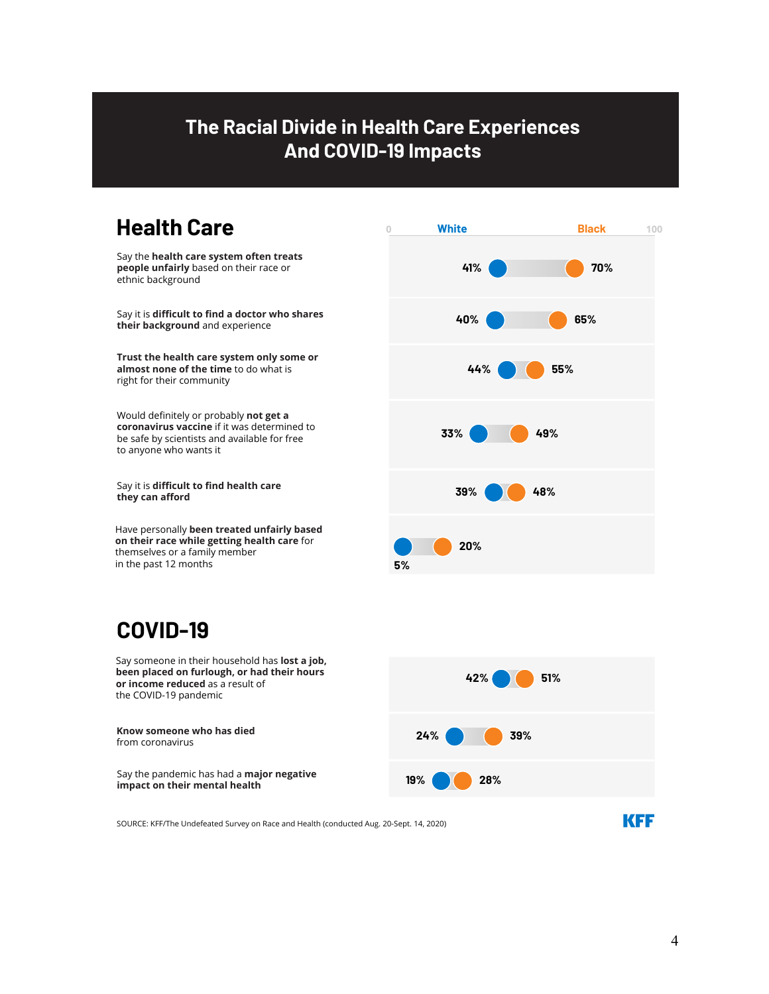# **The Racial Divide in Health Care Experiences And COVID-19 Impacts**

# **Health Care**

Say the **health care system often treats people unfairly** based on their race or ethnic background

Say it is **difficult to find a doctor who shares their background** and experience

**Trust the health care system only some or almost none of the time** to do what is right for their community

Would definitely or probably not get a **coronavirus vaccine** if it was determined to be safe by scientists and available for free to anyone who wants it

Say it is **difficult to find health care** they can afford

Have personally **been treated unfairly based on their race while getting health care** for themselves or a family member in the past 12 months

# **COVID-19**

Say someone in their household has **lost a job, been placed on furlough, or had their hours or income reduced** as a result of the COVID-19 pandemic

**Know someone who has died**  from coronavirus

Say the pandemic has had a **major negative impact on their mental health** 





SOURCE: KFF/The Undefeated Survey on Race and Health (conducted Aug. 20-Sept. 14, 2020)

**KFF**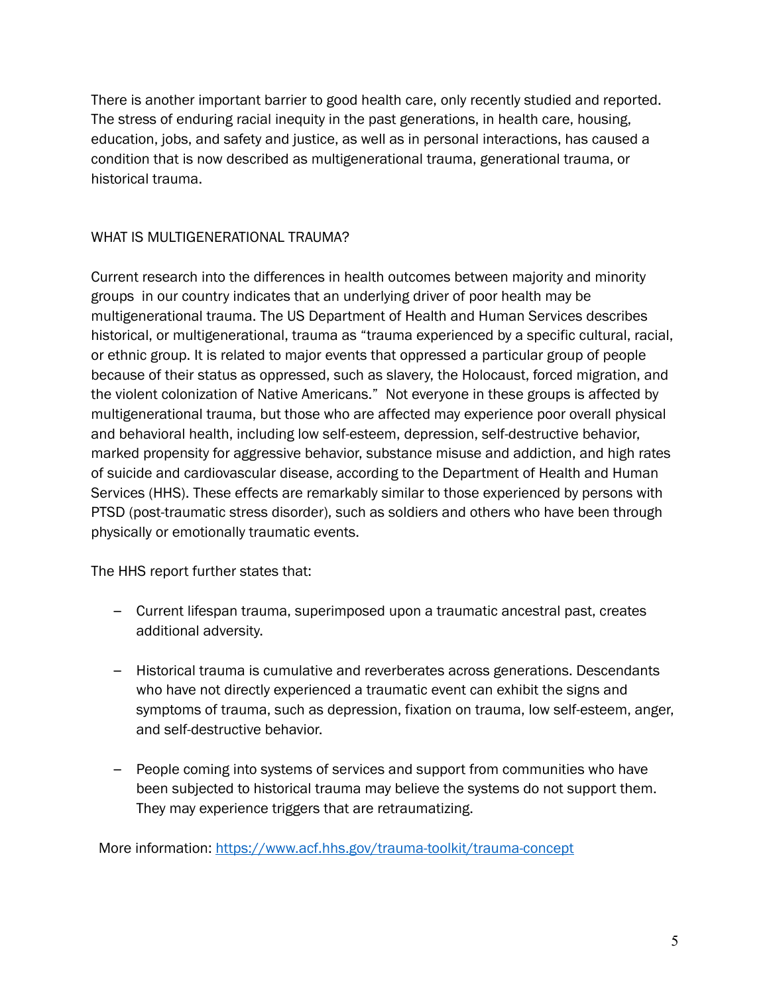There is another important barrier to good health care, only recently studied and reported. The stress of enduring racial inequity in the past generations, in health care, housing, education, jobs, and safety and justice, as well as in personal interactions, has caused a condition that is now described as multigenerational trauma, generational trauma, or historical trauma.

#### WHAT IS MULTIGENERATIONAL TRAUMA?

Current research into the differences in health outcomes between majority and minority groups in our country indicates that an underlying driver of poor health may be multigenerational trauma. The US Department of Health and Human Services describes historical, or multigenerational, trauma as "trauma experienced by a specific cultural, racial, or ethnic group. It is related to major events that oppressed a particular group of people because of their status as oppressed, such as slavery, the Holocaust, forced migration, and the violent colonization of Native Americans." Not everyone in these groups is affected by multigenerational trauma, but those who are affected may experience poor overall physical and behavioral health, including low self-esteem, depression, self-destructive behavior, marked propensity for aggressive behavior, substance misuse and addiction, and high rates of suicide and cardiovascular disease, according to the Department of Health and Human Services (HHS). These effects are remarkably similar to those experienced by persons with PTSD (post-traumatic stress disorder), such as soldiers and others who have been through physically or emotionally traumatic events.

The HHS report further states that:

- Current lifespan trauma, superimposed upon a traumatic ancestral past, creates additional adversity.
- Historical trauma is cumulative and reverberates across generations. Descendants who have not directly experienced a traumatic event can exhibit the signs and symptoms of trauma, such as depression, fixation on trauma, low self-esteem, anger, and self-destructive behavior.
- People coming into systems of services and support from communities who have been subjected to historical trauma may believe the systems do not support them. They may experience triggers that are retraumatizing.

More information: https://www.acf.hhs.gov/trauma-toolkit/trauma-concept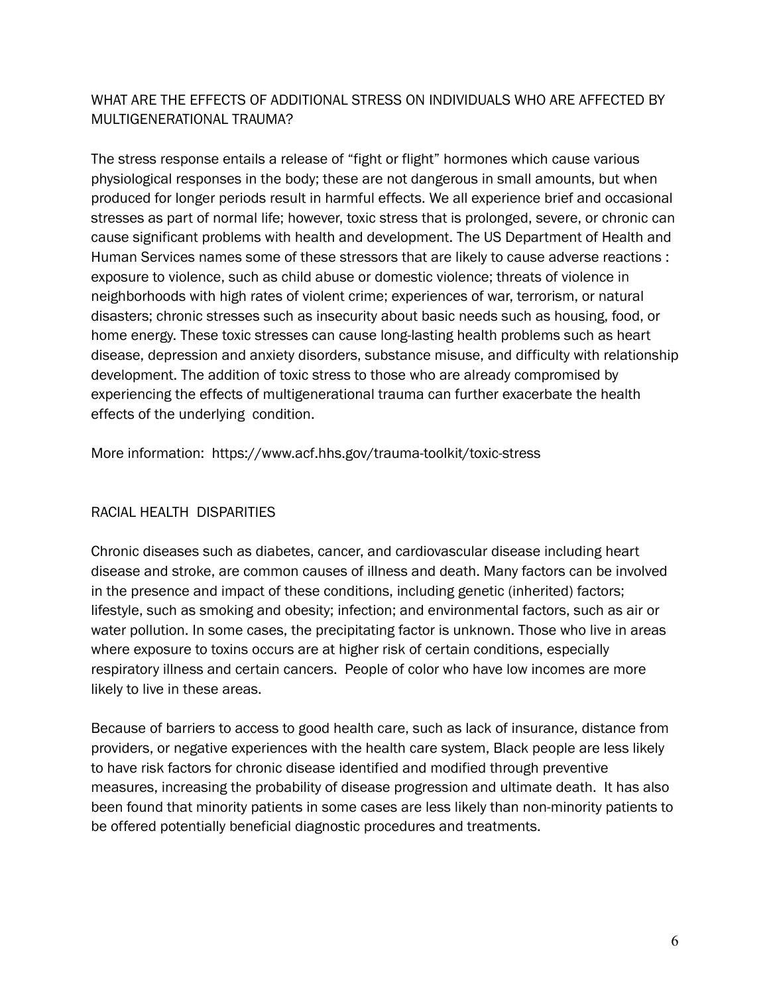#### WHAT ARE THE EFFECTS OF ADDITIONAL STRESS ON INDIVIDUALS WHO ARE AFFECTED BY MULTIGENERATIONAL TRAUMA?

The stress response entails a release of "fight or flight" hormones which cause various physiological responses in the body; these are not dangerous in small amounts, but when produced for longer periods result in harmful effects. We all experience brief and occasional stresses as part of normal life; however, toxic stress that is prolonged, severe, or chronic can cause significant problems with health and development. The US Department of Health and Human Services names some of these stressors that are likely to cause adverse reactions : exposure to violence, such as child abuse or domestic violence; threats of violence in neighborhoods with high rates of violent crime; experiences of war, terrorism, or natural disasters; chronic stresses such as insecurity about basic needs such as housing, food, or home energy. These toxic stresses can cause long-lasting health problems such as heart disease, depression and anxiety disorders, substance misuse, and difficulty with relationship development. The addition of toxic stress to those who are already compromised by experiencing the effects of multigenerational trauma can further exacerbate the health effects of the underlying condition.

More information: https://www.acf.hhs.gov/trauma-toolkit/toxic-stress

#### RACIAL HEALTH DISPARITIES

Chronic diseases such as diabetes, cancer, and cardiovascular disease including heart disease and stroke, are common causes of illness and death. Many factors can be involved in the presence and impact of these conditions, including genetic (inherited) factors; lifestyle, such as smoking and obesity; infection; and environmental factors, such as air or water pollution. In some cases, the precipitating factor is unknown. Those who live in areas where exposure to toxins occurs are at higher risk of certain conditions, especially respiratory illness and certain cancers. People of color who have low incomes are more likely to live in these areas.

Because of barriers to access to good health care, such as lack of insurance, distance from providers, or negative experiences with the health care system, Black people are less likely to have risk factors for chronic disease identified and modified through preventive measures, increasing the probability of disease progression and ultimate death. It has also been found that minority patients in some cases are less likely than non-minority patients to be offered potentially beneficial diagnostic procedures and treatments.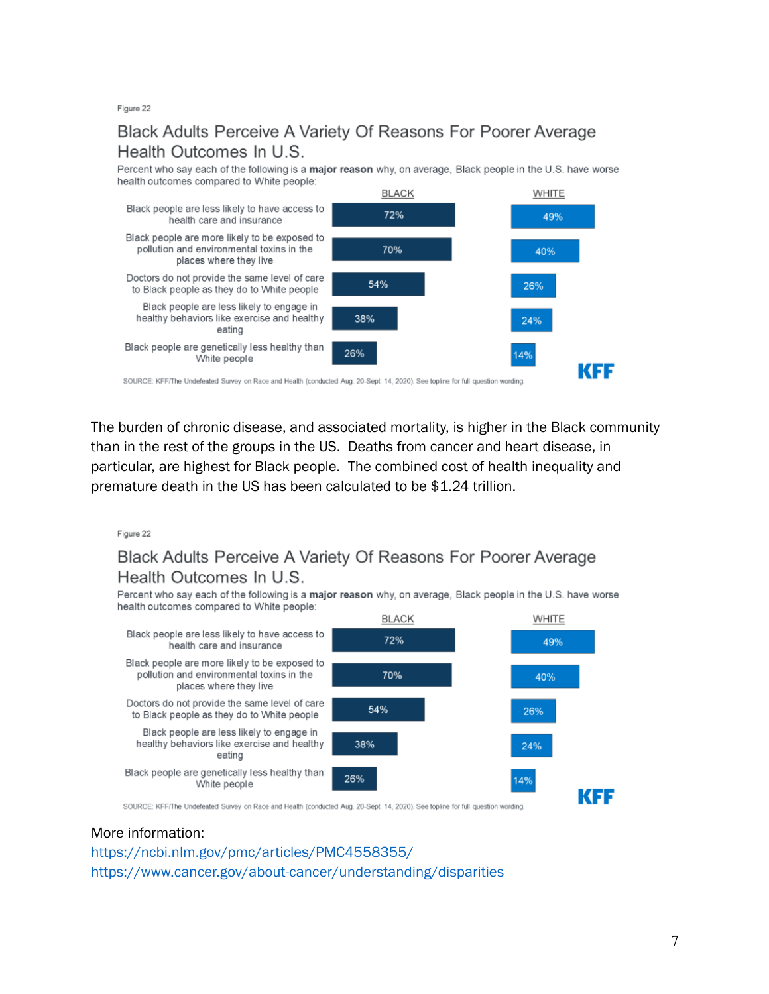Figure 22

### Black Adults Perceive A Variety Of Reasons For Poorer Average Health Outcomes In U.S.

Percent who say each of the following is a major reason why, on average. Black people in the U.S. have worse health outcomes compared to White people:



SOURCE: KFF/The Undefeated Survey on Race and Health (conducted Aug. 20-Sept. 14, 2020). See topline for full question wording.

The burden of chronic disease, and associated mortality, is higher in the Black community than in the rest of the groups in the US. Deaths from cancer and heart disease, in particular, are highest for Black people. The combined cost of health inequality and premature death in the US has been calculated to be \$1.24 trillion.

Figure 22

### Black Adults Perceive A Variety Of Reasons For Poorer Average Health Outcomes In U.S.

Percent who say each of the following is a major reason why, on average, Black people in the U.S. have worse health outcomes compared to White people:



SOURCE: KFF/The Undefeated Survey on Race and Health (conducted Aug. 20-Sept. 14, 2020). See topline for full question wording.

#### More information:

https://ncbi.nlm.gov/pmc/articles/PMC4558355/ https://www.cancer.gov/about-cancer/understanding/disparities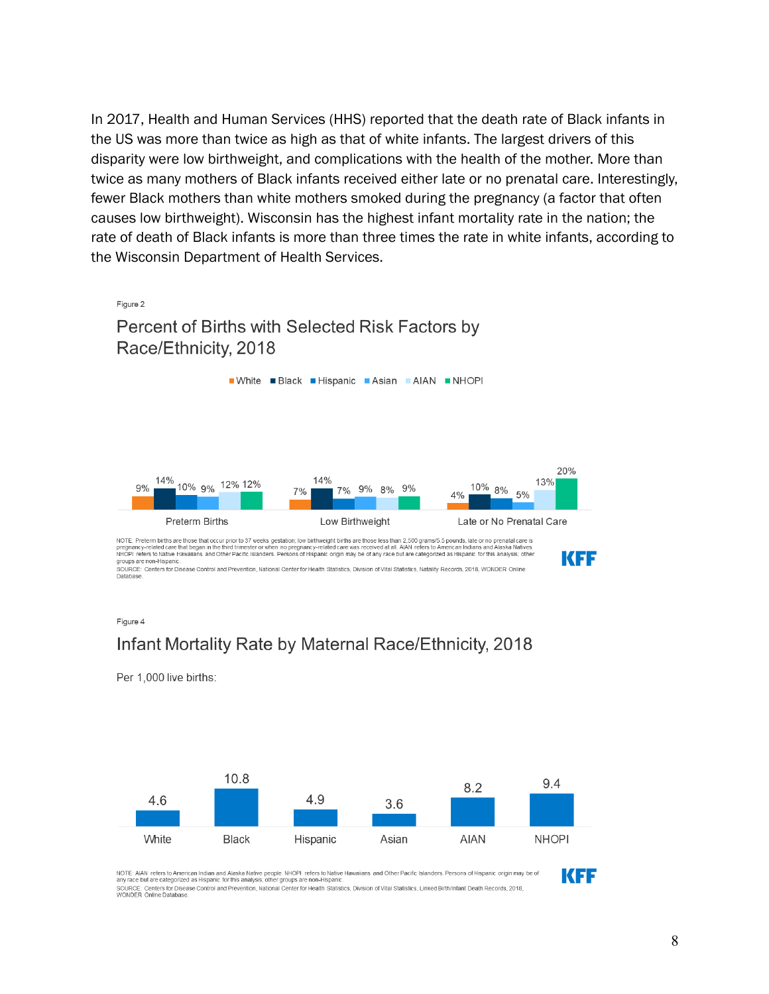In 2017, Health and Human Services (HHS) reported that the death rate of Black infants in the US was more than twice as high as that of white infants. The largest drivers of this disparity were low birthweight, and complications with the health of the mother. More than twice as many mothers of Black infants received either late or no prenatal care. Interestingly, fewer Black mothers than white mothers smoked during the pregnancy (a factor that often causes low birthweight). Wisconsin has the highest infant mortality rate in the nation; the rate of death of Black infants is more than three times the rate in white infants, according to the Wisconsin Department of Health Services.



Figure 4

#### Infant Mortality Rate by Maternal Race/Ethnicity, 2018

Per 1.000 live births:



NOTE: AIAN refers to American Indian and Alaska Native people. NHOPI refers to Native Hawaiians and Other Pacific Islanders. Persons of Hispanic origin may be of<br>any race but are categorized as Hispanic for this analysis; SOURCE: Centers for Disease Control and Prevention, National Center for Health Statistics, Division of Vital Statistics, Linked Birth/Infant Death Records, 2018<br>WONDER Online Database.